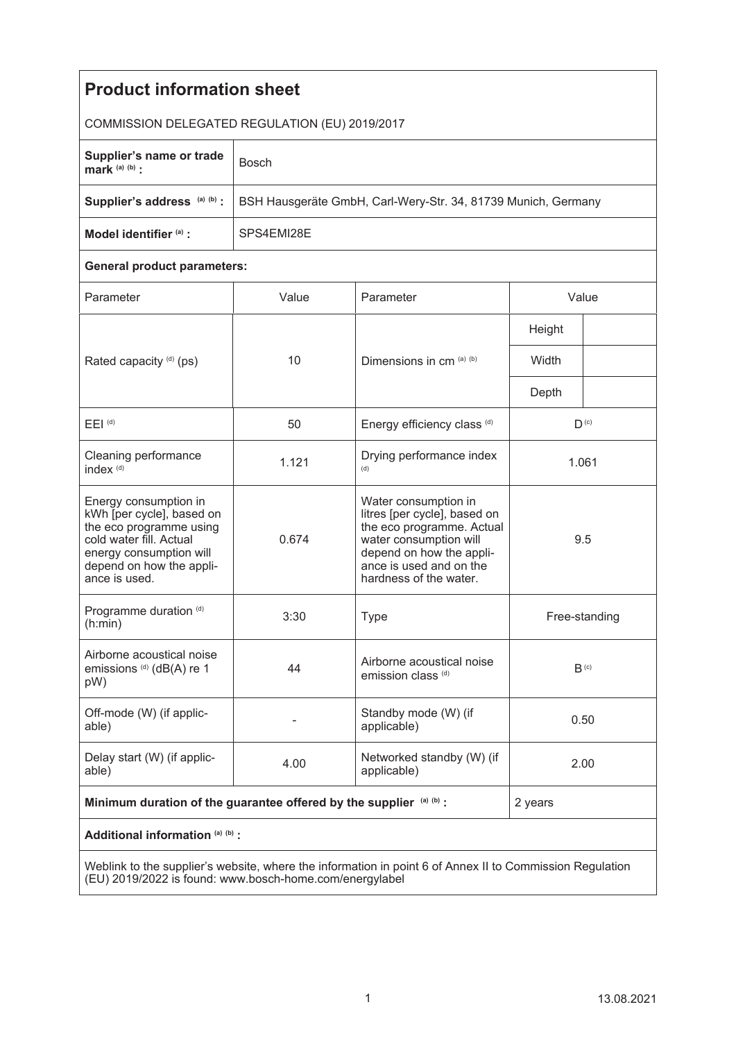| <b>Product information sheet</b>                                                                                                                                                 |                                                               |                                                                                                                                                                                              |                  |  |
|----------------------------------------------------------------------------------------------------------------------------------------------------------------------------------|---------------------------------------------------------------|----------------------------------------------------------------------------------------------------------------------------------------------------------------------------------------------|------------------|--|
| COMMISSION DELEGATED REGULATION (EU) 2019/2017                                                                                                                                   |                                                               |                                                                                                                                                                                              |                  |  |
| Supplier's name or trade<br>mark $(a)$ $(b)$ :                                                                                                                                   | <b>Bosch</b>                                                  |                                                                                                                                                                                              |                  |  |
| Supplier's address (a) (b) :                                                                                                                                                     | BSH Hausgeräte GmbH, Carl-Wery-Str. 34, 81739 Munich, Germany |                                                                                                                                                                                              |                  |  |
| Model identifier (a) :                                                                                                                                                           | SPS4EMI28E                                                    |                                                                                                                                                                                              |                  |  |
| <b>General product parameters:</b>                                                                                                                                               |                                                               |                                                                                                                                                                                              |                  |  |
| Parameter                                                                                                                                                                        | Value                                                         | Parameter                                                                                                                                                                                    | Value            |  |
| Rated capacity (d) (ps)                                                                                                                                                          | 10                                                            | Dimensions in cm (a) (b)                                                                                                                                                                     | Height           |  |
|                                                                                                                                                                                  |                                                               |                                                                                                                                                                                              | Width            |  |
|                                                                                                                                                                                  |                                                               |                                                                                                                                                                                              | Depth            |  |
| $E EI$ <sup>(d)</sup>                                                                                                                                                            | 50                                                            | Energy efficiency class (d)                                                                                                                                                                  | $D^{(c)}$        |  |
| Cleaning performance<br>index <sup>(d)</sup>                                                                                                                                     | 1.121                                                         | Drying performance index<br>(d)                                                                                                                                                              | 1.061            |  |
| Energy consumption in<br>kWh [per cycle], based on<br>the eco programme using<br>cold water fill. Actual<br>energy consumption will<br>depend on how the appli-<br>ance is used. | 0.674                                                         | Water consumption in<br>litres [per cycle], based on<br>the eco programme. Actual<br>water consumption will<br>depend on how the appli-<br>ance is used and on the<br>hardness of the water. | 9.5              |  |
| Programme duration (d)<br>(h:min)                                                                                                                                                | 3:30                                                          | <b>Type</b>                                                                                                                                                                                  | Free-standing    |  |
| Airborne acoustical noise<br>emissions <sup>(d)</sup> (dB(A) re 1<br>pW)                                                                                                         | 44                                                            | Airborne acoustical noise<br>emission class (d)                                                                                                                                              | B <sub>(c)</sub> |  |
| Off-mode (W) (if applic-<br>able)                                                                                                                                                |                                                               | Standby mode (W) (if<br>applicable)                                                                                                                                                          | 0.50             |  |
| Delay start (W) (if applic-<br>able)                                                                                                                                             | 4.00                                                          | Networked standby (W) (if<br>applicable)                                                                                                                                                     | 2.00             |  |
| Minimum duration of the guarantee offered by the supplier (a) (b) :                                                                                                              |                                                               |                                                                                                                                                                                              | 2 years          |  |
| Additional information (a) (b) :                                                                                                                                                 |                                                               |                                                                                                                                                                                              |                  |  |
| Weblink to the supplier's website where the information in point 6 of Annex II to Commission Requilation                                                                         |                                                               |                                                                                                                                                                                              |                  |  |

Weblink to the supplier's website, where the information in point 6 of Annex II to Commission Regulation (EU) 2019/2022 is found: www.bosch-home.com/energylabel